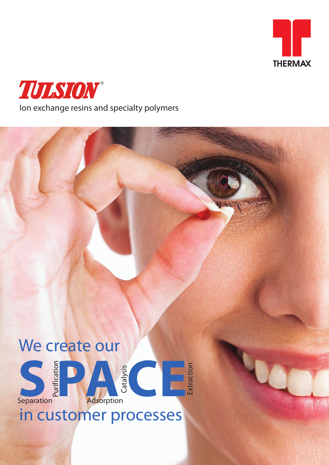



# We create our



## in customer processes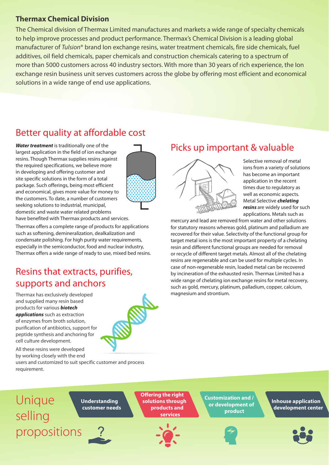#### **Thermax Chemical Division**

The Chemical division of Thermax Limited manufactures and markets a wide range of specialty chemicals to help improve processes and product performance. Thermax's Chemical Division is a leading global manufacturer of *Tulsion*® brand Ion exchange resins, water treatment chemicals, fire side chemicals, fuel additives, oil field chemicals, paper chemicals and construction chemicals catering to a spectrum of more than 5000 customers across 40 industry sectors. With more than 30 years of rich experience, the Ion exchange resin business unit serves customers across the globe by offering most efficient and economical solutions in a wide range of end use applications.

## Better quality at affordable cost

*Water treatment* is traditionally one of the largest application in the field of ion exchange resins. Though Thermax supplies resins against the required specifications, we believe more in developing and offering customer and site specific solutions in the form of a total package. Such offerings, being most efficient and economical, gives more value for money to the customers. To date, a number of customers seeking solutions to industrial, municipal, domestic and waste water related problems have benefited with Thermax products and services.



Thermax offers a complete range of products for applications such as softening, demineralization, dealkalization and condensate polishing. For high purity water requirements, especially in the semiconductor, food and nuclear industry, Thermax offers a wide range of ready to use, mixed bed resins.

#### Resins that extracts, purifies, supports and anchors

Thermax has exclusively developed and supplied many resin based products for various *biotech applications* such as extraction of enzymes from broth solution, purification of antibiotics, support for peptide synthesis and anchoring for cell culture development.

All these resins were developed



### Picks up important & valuable



Selective removal of metal ions from a variety of solutions has become an important application in the recent times due to regulatory as well as economic aspects. Metal Selective *chelating resins* are widely used for such applications. Metals such as

mercury and lead are removed from water and other solutions for statutory reasons whereas gold, platinum and palladium are recovered for their value. Selectivity of the functional group for target metal ions is the most important property of a chelating resin and different functional groups are needed for removal or recycle of different target metals. Almost all of the chelating resins are regenerable and can be used for multiple cycles. In case of non-regenerable resin, loaded metal can be recovered by incineration of the exhausted resin. Thermax Limited has a wide range of chelating ion exchange resins for metal recovery, such as gold, mercury, platinum, palladium, copper, calcium, magnesium and strontium.

by working closely with the end users and customized to suit specific customer and process requirement.

Unique selling propositions

 **Understanding customer needs** **Offering the right solutions through products and services**



**Customization and / or development of product**



**Inhouse application development center**

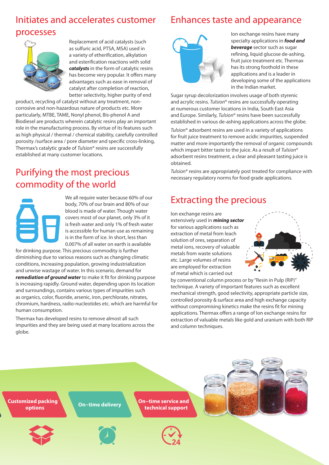## Initiates and accelerates customer processes



Replacement of acid catalysts (such as sulfuric acid, PTSA, MSA) used in a variety of etherification, alkylation and esterification reactions with solid *catalysts* in the form of catalytic resins has become very popular. It offers many advantages such as ease in removal of catalyst after completion of reaction, better selectivity, higher purity of end

product, recycling of catalyst without any treatment, noncorrosive and non-hazardous nature of products etc. More particularly, MTBE, TAME, Nonyl phenol, Bis-phenol A and Biodiesel are products wherein catalytic resins play an important role in the manufacturing process. By virtue of its features such as high physical / thermal / chemical stability, carefully controlled porosity /surface area / pore diameter and specific cross-linking, Thermax's catalytic grade of *Tulsion*® resins are successfully established at many customer locations.

#### Purifying the most precious commodity of the world



We all require water because 60% of our body, 70% of our brain and 80% of our blood is made of water. Though water covers most of our planet, only 3% of it is fresh water and only 1% of fresh water is accessible for human use as remaining is in the form of ice. In short, less than 0.007% of all water on earth is available

for drinking purpose. This precious commodity is further diminishing due to various reasons such as changing climatic conditions, increasing population, growing industrialization and unwise wastage of water. In this scenario, demand for *remediation of ground water* to make it fit for drinking purpose is increasing rapidly. Ground water, depending upon its location and surroundings, contains various types of impurities such as organics, color, fluoride, arsenic, iron, perchlorate, nitrates, chromium, hardness, radio-nucleotides etc. which are harmful for human consumption.

Thermax has developed resins to remove almost all such impurities and they are being used at many locations across the globe.

## Enhances taste and appearance



Ion exchange resins have many specialty applications in *food and beverage* sector such as sugar refining, liquid glucose de-ashing, fruit juice treatment etc. Thermax has its strong foothold in these applications and is a leader in developing some of the applications in the Indian market.

Sugar syrup decolorization involves usage of both styrenic and acrylic resins. *Tulsion*® resins are successfully operating at numerous customer locations in India, South East Asia and Europe. Similarly, *Tulsion*® resins have been successfully established in various de-ashing applications across the globe.

*Tulsion*® adsorbent resins are used in a variety of applications for fruit juice treatment to remove acidic impurities, suspended matter and more importantly the removal of organic compounds which impart bitter taste to the juice. As a result of *Tulsion*® adsorbent resins treatment, a clear and pleasant tasting juice is obtained.

*Tulsion*® resins are appropriately post treated for compliance with necessary regulatory norms for food grade applications.

#### Extracting the precious

Ion exchange resins are extensively used in *mining sector*  for various applications such as extraction of metal from leach solution of ores, separation of metal ions, recovery of valuable metals from waste solutions etc. Large volumes of resins are employed for extraction of metal which is carried out



by conventional column process or by "Resin in Pulp (RIP)" technique. A variety of important features such as excellent mechanical strength, good selectivity, appropriate particle size, controlled porosity & surface area and high exchange capacity without compromising kinetics make the resins fit for mining applications. Thermax offers a range of Ion exchange resins for extraction of valuable metals like gold and uranium with both RIP and column techniques.

**Customized packing**